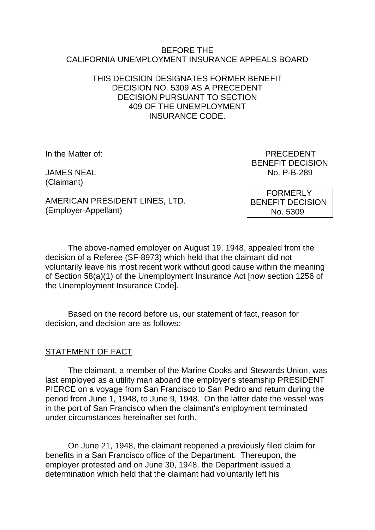#### BEFORE THE CALIFORNIA UNEMPLOYMENT INSURANCE APPEALS BOARD

### THIS DECISION DESIGNATES FORMER BENEFIT DECISION NO. 5309 AS A PRECEDENT DECISION PURSUANT TO SECTION 409 OF THE UNEMPLOYMENT INSURANCE CODE.

(Claimant)

In the Matter of: PRECEDENT BENEFIT DECISION JAMES NEAL No. P-B-289

AMERICAN PRESIDENT LINES, LTD. (Employer-Appellant)

 FORMERLY BENEFIT DECISION No. 5309

The above-named employer on August 19, 1948, appealed from the decision of a Referee (SF-8973) which held that the claimant did not voluntarily leave his most recent work without good cause within the meaning of Section 58(a)(1) of the Unemployment Insurance Act [now section 1256 of the Unemployment Insurance Code].

Based on the record before us, our statement of fact, reason for decision, and decision are as follows:

## STATEMENT OF FACT

The claimant, a member of the Marine Cooks and Stewards Union, was last employed as a utility man aboard the employer's steamship PRESIDENT PIERCE on a voyage from San Francisco to San Pedro and return during the period from June 1, 1948, to June 9, 1948. On the latter date the vessel was in the port of San Francisco when the claimant's employment terminated under circumstances hereinafter set forth.

On June 21, 1948, the claimant reopened a previously filed claim for benefits in a San Francisco office of the Department. Thereupon, the employer protested and on June 30, 1948, the Department issued a determination which held that the claimant had voluntarily left his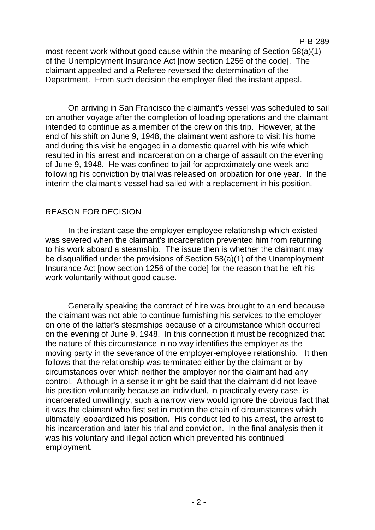### most recent work without good cause within the meaning of Section 58(a)(1) of the Unemployment Insurance Act [now section 1256 of the code]. The claimant appealed and a Referee reversed the determination of the Department. From such decision the employer filed the instant appeal.

P-B-289

On arriving in San Francisco the claimant's vessel was scheduled to sail on another voyage after the completion of loading operations and the claimant intended to continue as a member of the crew on this trip. However, at the end of his shift on June 9, 1948, the claimant went ashore to visit his home and during this visit he engaged in a domestic quarrel with his wife which resulted in his arrest and incarceration on a charge of assault on the evening of June 9, 1948. He was confined to jail for approximately one week and following his conviction by trial was released on probation for one year. In the interim the claimant's vessel had sailed with a replacement in his position.

# REASON FOR DECISION

In the instant case the employer-employee relationship which existed was severed when the claimant's incarceration prevented him from returning to his work aboard a steamship. The issue then is whether the claimant may be disqualified under the provisions of Section 58(a)(1) of the Unemployment Insurance Act [now section 1256 of the code] for the reason that he left his work voluntarily without good cause.

Generally speaking the contract of hire was brought to an end because the claimant was not able to continue furnishing his services to the employer on one of the latter's steamships because of a circumstance which occurred on the evening of June 9, 1948. In this connection it must be recognized that the nature of this circumstance in no way identifies the employer as the moving party in the severance of the employer-employee relationship. It then follows that the relationship was terminated either by the claimant or by circumstances over which neither the employer nor the claimant had any control. Although in a sense it might be said that the claimant did not leave his position voluntarily because an individual, in practically every case, is incarcerated unwillingly, such a narrow view would ignore the obvious fact that it was the claimant who first set in motion the chain of circumstances which ultimately jeopardized his position. His conduct led to his arrest, the arrest to his incarceration and later his trial and conviction. In the final analysis then it was his voluntary and illegal action which prevented his continued employment.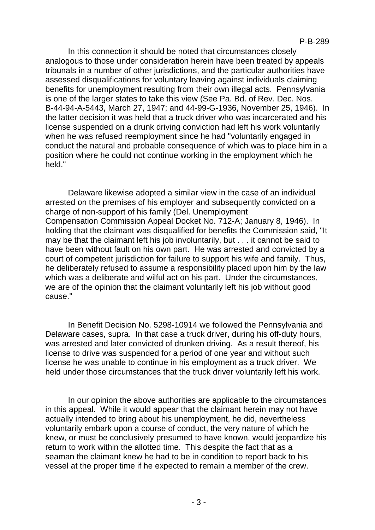In this connection it should be noted that circumstances closely analogous to those under consideration herein have been treated by appeals tribunals in a number of other jurisdictions, and the particular authorities have assessed disqualifications for voluntary leaving against individuals claiming benefits for unemployment resulting from their own illegal acts. Pennsylvania is one of the larger states to take this view (See Pa. Bd. of Rev. Dec. Nos. B-44-94-A-5443, March 27, 1947; and 44-99-G-1936, November 25, 1946). In the latter decision it was held that a truck driver who was incarcerated and his license suspended on a drunk driving conviction had left his work voluntarily when he was refused reemployment since he had "voluntarily engaged in conduct the natural and probable consequence of which was to place him in a position where he could not continue working in the employment which he held."

Delaware likewise adopted a similar view in the case of an individual arrested on the premises of his employer and subsequently convicted on a charge of non-support of his family (Del. Unemployment Compensation Commission Appeal Docket No. 712-A; January 8, 1946). In holding that the claimant was disqualified for benefits the Commission said, "It may be that the claimant left his job involuntarily, but . . . it cannot be said to have been without fault on his own part. He was arrested and convicted by a court of competent jurisdiction for failure to support his wife and family. Thus, he deliberately refused to assume a responsibility placed upon him by the law which was a deliberate and wilful act on his part. Under the circumstances, we are of the opinion that the claimant voluntarily left his job without good cause."

In Benefit Decision No. 5298-10914 we followed the Pennsylvania and Delaware cases, supra. In that case a truck driver, during his off-duty hours, was arrested and later convicted of drunken driving. As a result thereof, his license to drive was suspended for a period of one year and without such license he was unable to continue in his employment as a truck driver. We held under those circumstances that the truck driver voluntarily left his work.

In our opinion the above authorities are applicable to the circumstances in this appeal. While it would appear that the claimant herein may not have actually intended to bring about his unemployment, he did, nevertheless voluntarily embark upon a course of conduct, the very nature of which he knew, or must be conclusively presumed to have known, would jeopardize his return to work within the allotted time. This despite the fact that as a seaman the claimant knew he had to be in condition to report back to his vessel at the proper time if he expected to remain a member of the crew.